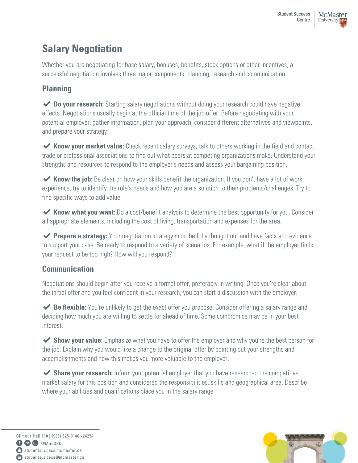# **Salary Negotiation**

Whether you are negotiating for base salary, bonuses, benefits, stock options or other incentives, a successful negotiation involves three major components: planning, research and communication.

# **Planning**

◆ **Do your research:** Starting salary negotiations without doing your research could have negative effects. Negotiations usually begin at the official time of the job offer. Before negotiating with your potential employer, gather information, plan your approach, consider different alternatives and viewpoints, and prepare your strategy.

◆ Know your market value: Check recent salary surveys, talk to others working in the field and contact trade or professional associations to find out what peers at competing organizations make. Understand your strengths and resources to respond to the employer's needs and assess your bargaining position.

◆ **Know the job:** Be clear on how your skills benefit the organization. If you don't have a lot of work experience, try to identify the role's needs and how you are a solution to their problems/challenges. Try to find specific ways to add value.

◆ **Know what you want:** Do a cost/benefit analysis to determine the best opportunity for you. Consider all appropriate elements, including the cost of living, transportation and expenses for the area.

◆ **Prepare a strategy:** Your negotiation strategy must be fully thought out and have facts and evidence to support your case. Be ready to respond to a variety of scenarios. For example, what if the employer finds your request to be too high? How will you respond?

## **Communication**

Negotiations should begin after you receive a formal offer, preferably in writing. Once you're clear about the initial offer and you feel confident in your research, you can start a discussion with the employer.

◆ **Be flexible:** You're unlikely to get the exact offer you propose. Consider offering a salary range and deciding how much you are willing to settle for ahead of time. Some compromise may be in your best interest.

◆ **Show your value:** Emphasize what you have to offer the employer and why you're the best person for the job. Explain why you would like a change to the original offer by pointing out your strengths and accomplishments and how this makes you more valuable to the employer.

◆ Share your research: Inform your potential employer that you have researched the competitive market salary for this position and considered the responsibilities, skills and geographical area. Describe where your abilities and qualifications place you in the salary range.

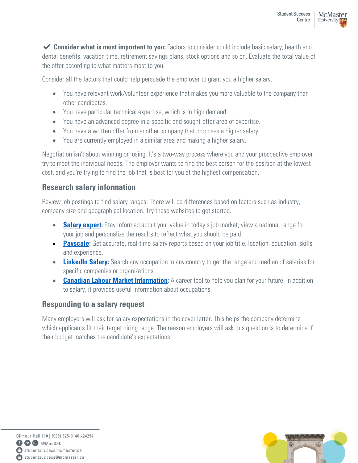◆ **Consider what is most important to you:** Factors to consider could include basic salary, health and dental benefits, vacation time, retirement savings plans, stock options and so on. [Evaluate the total value of](http://www.best-job-interview.com/negotiating-a-job-offer.html)  [the offer according to what matters](http://www.best-job-interview.com/negotiating-a-job-offer.html) most to you.

Consider all the factors that could help persuade the employer to grant you a higher salary.

- You have relevant work/volunteer experience that makes you more valuable to the company than other candidates.
- You have particular technical expertise, which is in high demand.
- You have an advanced degree in a specific and sought-after area of expertise.
- You have a written offer from another company that proposes a higher salary.
- You are currently employed in a similar area and making a higher salary.

Negotiation isn't about winning or losing. It's a two-way process where you and your prospective employer try to meet the individual needs. The employer wants to find the best person for the position at the lowest cost, and you're trying to find the job that is best for you at the highest compensation.

### **Research salary information**

Review job postings to find salary ranges. There will be differences based on factors such as industry, company size and geographical location. Try these websites to get started.

- **Salary expert:** Stay informed about your value in today's job market, view a national range for your job and personalize the results to reflect what you should be paid.
- **[Payscale:](http://www.payscale.com/)** Get accurate, real-time salary reports based on your job title, location, education, skills and experience.
- **[LinkedIn Salary:](https://www.linkedin.com/salary/)** Search any occupation in any country to get the range and median of salaries for specific companies or organizations.
- **[Canadian Labour Market Information:](https://www.jobbank.gc.ca/explorecareers)** A career tool to help you plan for your future. In addition to salary, it provides useful information about occupations.

## **Responding to a salary request**

Many employers will ask for salary expectations in the cover letter. This helps the company determine which applicants fit their target hiring range. The reason employers will ask this question is to determine if their budget matches the candidate's expectations.